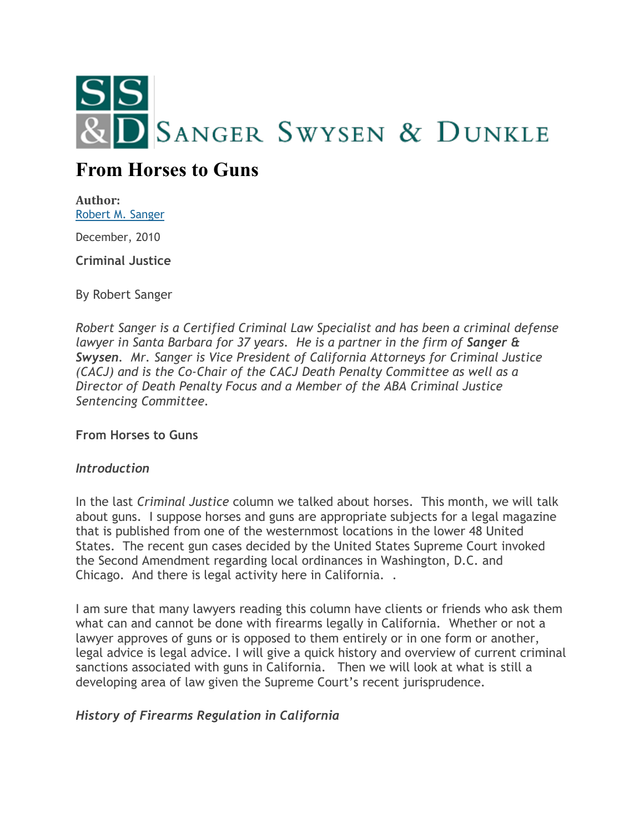

# **From Horses to Guns**

**Author:** [Robert M. Sanger](http://sangerswysen.com/robert-m-sanger)

December, 2010

**Criminal Justice**

By Robert Sanger

*Robert Sanger is a Certified Criminal Law Specialist and has been a criminal defense lawyer in Santa Barbara for 37 years. He is a partner in the firm of Sanger & Swysen. Mr. Sanger is Vice President of California Attorneys for Criminal Justice (CACJ) and is the Co-Chair of the CACJ Death Penalty Committee as well as a Director of Death Penalty Focus and a Member of the ABA Criminal Justice Sentencing Committee.*

**From Horses to Guns**

#### *Introduction*

In the last *Criminal Justice* column we talked about horses. This month, we will talk about guns. I suppose horses and guns are appropriate subjects for a legal magazine that is published from one of the westernmost locations in the lower 48 United States. The recent gun cases decided by the United States Supreme Court invoked the Second Amendment regarding local ordinances in Washington, D.C. and Chicago. And there is legal activity here in California. .

I am sure that many lawyers reading this column have clients or friends who ask them what can and cannot be done with firearms legally in California. Whether or not a lawyer approves of guns or is opposed to them entirely or in one form or another, legal advice is legal advice. I will give a quick history and overview of current criminal sanctions associated with guns in California. Then we will look at what is still a developing area of law given the Supreme Court's recent jurisprudence.

## *History of Firearms Regulation in California*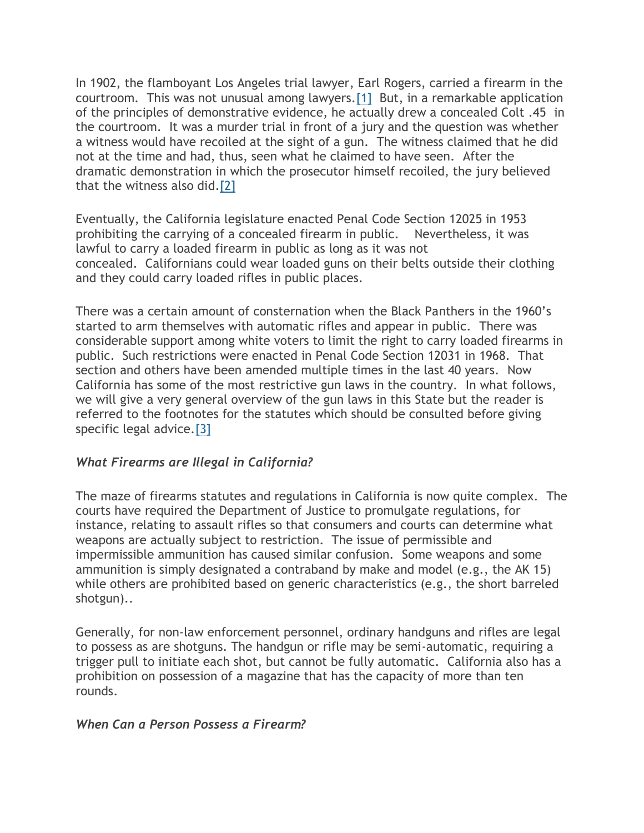In 1902, the flamboyant Los Angeles trial lawyer, Earl Rogers, carried a firearm in the courtroom. This was not unusual among lawyers[.\[1\]](#page-4-0) But, in a remarkable application of the principles of demonstrative evidence, he actually drew a concealed Colt .45 in the courtroom. It was a murder trial in front of a jury and the question was whether a witness would have recoiled at the sight of a gun. The witness claimed that he did not at the time and had, thus, seen what he claimed to have seen. After the dramatic demonstration in which the prosecutor himself recoiled, the jury believed that the witness also did[.\[2\]](#page-4-1)

Eventually, the California legislature enacted Penal Code Section 12025 in 1953 prohibiting the carrying of a concealed firearm in public. Nevertheless, it was lawful to carry a loaded firearm in public as long as it was not concealed. Californians could wear loaded guns on their belts outside their clothing and they could carry loaded rifles in public places.

There was a certain amount of consternation when the Black Panthers in the 1960's started to arm themselves with automatic rifles and appear in public. There was considerable support among white voters to limit the right to carry loaded firearms in public. Such restrictions were enacted in Penal Code Section 12031 in 1968. That section and others have been amended multiple times in the last 40 years. Now California has some of the most restrictive gun laws in the country. In what follows, we will give a very general overview of the gun laws in this State but the reader is referred to the footnotes for the statutes which should be consulted before giving specific legal advice[.\[3\]](#page-4-2)

## *What Firearms are Illegal in California?*

The maze of firearms statutes and regulations in California is now quite complex. The courts have required the Department of Justice to promulgate regulations, for instance, relating to assault rifles so that consumers and courts can determine what weapons are actually subject to restriction. The issue of permissible and impermissible ammunition has caused similar confusion. Some weapons and some ammunition is simply designated a contraband by make and model (e.g., the AK 15) while others are prohibited based on generic characteristics (e.g., the short barreled shotgun)..

Generally, for non-law enforcement personnel, ordinary handguns and rifles are legal to possess as are shotguns. The handgun or rifle may be semi-automatic, requiring a trigger pull to initiate each shot, but cannot be fully automatic. California also has a prohibition on possession of a magazine that has the capacity of more than ten rounds.

#### *When Can a Person Possess a Firearm?*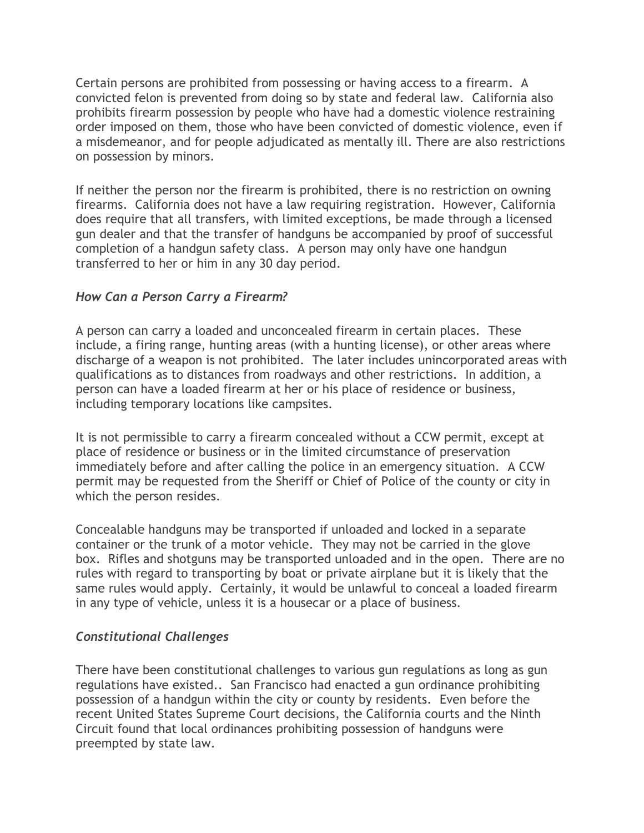Certain persons are prohibited from possessing or having access to a firearm. A convicted felon is prevented from doing so by state and federal law. California also prohibits firearm possession by people who have had a domestic violence restraining order imposed on them, those who have been convicted of domestic violence, even if a misdemeanor, and for people adjudicated as mentally ill. There are also restrictions on possession by minors.

If neither the person nor the firearm is prohibited, there is no restriction on owning firearms. California does not have a law requiring registration. However, California does require that all transfers, with limited exceptions, be made through a licensed gun dealer and that the transfer of handguns be accompanied by proof of successful completion of a handgun safety class. A person may only have one handgun transferred to her or him in any 30 day period.

## *How Can a Person Carry a Firearm?*

A person can carry a loaded and unconcealed firearm in certain places. These include, a firing range, hunting areas (with a hunting license), or other areas where discharge of a weapon is not prohibited. The later includes unincorporated areas with qualifications as to distances from roadways and other restrictions. In addition, a person can have a loaded firearm at her or his place of residence or business, including temporary locations like campsites.

It is not permissible to carry a firearm concealed without a CCW permit, except at place of residence or business or in the limited circumstance of preservation immediately before and after calling the police in an emergency situation. A CCW permit may be requested from the Sheriff or Chief of Police of the county or city in which the person resides.

Concealable handguns may be transported if unloaded and locked in a separate container or the trunk of a motor vehicle. They may not be carried in the glove box. Rifles and shotguns may be transported unloaded and in the open. There are no rules with regard to transporting by boat or private airplane but it is likely that the same rules would apply. Certainly, it would be unlawful to conceal a loaded firearm in any type of vehicle, unless it is a housecar or a place of business.

#### *Constitutional Challenges*

There have been constitutional challenges to various gun regulations as long as gun regulations have existed.. San Francisco had enacted a gun ordinance prohibiting possession of a handgun within the city or county by residents. Even before the recent United States Supreme Court decisions, the California courts and the Ninth Circuit found that local ordinances prohibiting possession of handguns were preempted by state law.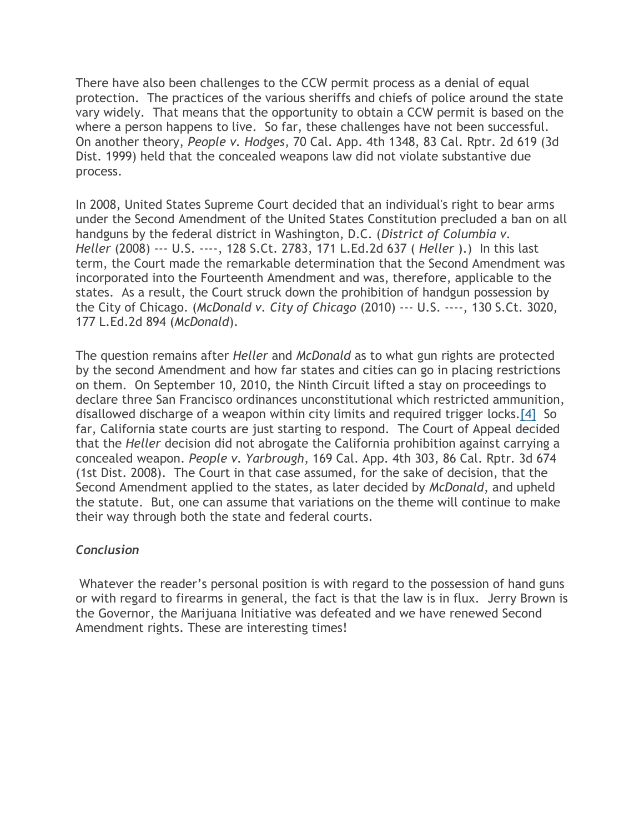There have also been challenges to the CCW permit process as a denial of equal protection. The practices of the various sheriffs and chiefs of police around the state vary widely. That means that the opportunity to obtain a CCW permit is based on the where a person happens to live. So far, these challenges have not been successful. On another theory, *People v. Hodges*, 70 Cal. App. 4th 1348, 83 Cal. Rptr. 2d 619 (3d Dist. 1999) held that the concealed weapons law did not violate substantive due process.

In 2008, United States Supreme Court decided that an individual's right to bear arms under the Second Amendment of the United States Constitution precluded a ban on all handguns by the federal district in Washington, D.C. (*District of Columbia v. Heller* (2008) --- U.S. ----, 128 S.Ct. 2783, 171 L.Ed.2d 637 ( *Heller* ).) In this last term, the Court made the remarkable determination that the Second Amendment was incorporated into the Fourteenth Amendment and was, therefore, applicable to the states. As a result, the Court struck down the prohibition of handgun possession by the City of Chicago. (*McDonald v. City of Chicago* (2010) --- U.S. ----, 130 S.Ct. 3020, 177 L.Ed.2d 894 (*McDonald*).

The question remains after *Heller* and *McDonald* as to what gun rights are protected by the second Amendment and how far states and cities can go in placing restrictions on them. On September 10, 2010, the Ninth Circuit lifted a stay on proceedings to declare three San Francisco ordinances unconstitutional which restricted ammunition, disallowed discharge of a weapon within city limits and required trigger locks[.\[4\]](#page-4-3) So far, California state courts are just starting to respond. The Court of Appeal decided that the *Heller* decision did not abrogate the California prohibition against carrying a concealed weapon. *People v. Yarbrough*, 169 Cal. App. 4th 303, 86 Cal. Rptr. 3d 674 (1st Dist. 2008). The Court in that case assumed, for the sake of decision, that the Second Amendment applied to the states, as later decided by *McDonald*, and upheld the statute. But, one can assume that variations on the theme will continue to make their way through both the state and federal courts.

## *Conclusion*

Whatever the reader's personal position is with regard to the possession of hand guns or with regard to firearms in general, the fact is that the law is in flux. Jerry Brown is the Governor, the Marijuana Initiative was defeated and we have renewed Second Amendment rights. These are interesting times!